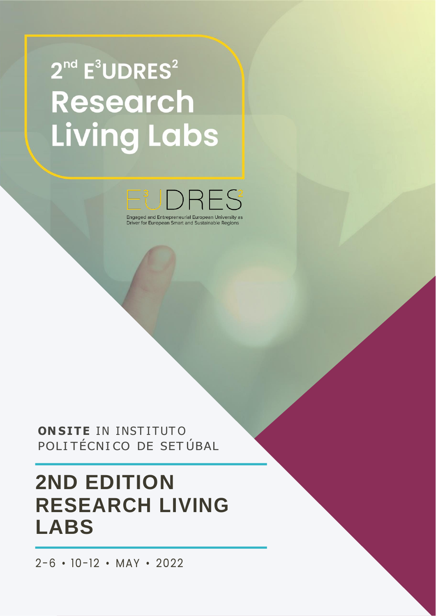# $2<sup>nd</sup>$  E<sup>3</sup>UDRES<sup>2</sup> **Research Living Labs**



ONSITE IN INSTITUTO POLITÉCNICO DE SETÚBAL

# **2ND EDITION RESEARCH LIVING LABS**

 $2-6 \cdot 10-12 \cdot \text{MAY} \cdot 2022$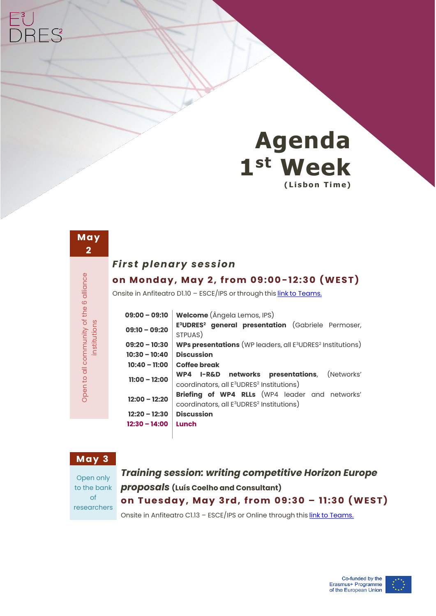

| Open to all community of the 6 alliance<br>tutio<br>₹ii |
|---------------------------------------------------------|

**May** 

**RES** 

#### *First plenary session*

#### **o n M o n d a y , M ay 2 , f r o m 09 : 0 0-1 2 : 3 0 ( W ES T )**

Onsite in Anfiteatro D1.10 - ESCE/IPS or through this link [to Teams.](https://teams.microsoft.com/l/meetup-join/19%3ameeting_YzQ5ODFjZjYtYmNmZS00MjhjLWExM2ItOTIzNzM0NDFjODI0%40thread.v2/0?context=%7b%22Tid%22%3a%22ad28c625-f2ca-4e91-b6d6-18922bc9391c%22%2c%22Oid%22%3a%22ef8dc058-1f31-48dc-805a-0df76a6e92e3%22%7d)

| $09:00 - 09:10$ | <b>Welcome</b> (Ângela Lemos, IPS)                                                        |
|-----------------|-------------------------------------------------------------------------------------------|
| $09:10 - 09:20$ | E <sup>3</sup> UDRES <sup>2</sup> general presentation (Gabriele Permoser,                |
|                 | STPUAS)                                                                                   |
| $09:20 - 10:30$ | <b>WPs presentations</b> (WP leaders, all E <sup>3</sup> UDRES <sup>2</sup> Institutions) |
| $10:30 - 10:40$ | <b>Discussion</b>                                                                         |
| $10:40 - 11:00$ | Coffee break                                                                              |
| $11:00 - 12:00$ | WP4 I-R&D networks presentations, (Networks'                                              |
|                 | coordinators, all E <sup>3</sup> UDRES <sup>2</sup> Institutions)                         |
| $12:00 - 12:20$ | Briefing of WP4 RLLs (WP4 leader and networks'                                            |
|                 | coordinators, all E <sup>3</sup> UDRES <sup>2</sup> Institutions)                         |
| $12:20 - 12:30$ | <b>Discussion</b>                                                                         |
| $12:30 - 14:00$ | Lunch                                                                                     |
|                 |                                                                                           |

#### **May 3**

Open only to the bank of researchers

*Training session: writing competitive Horizon Europe proposals* **(Luís Coelho and Consultant) o n T u e s d a y , May 3 r d , f r o m 09: 3 0 – 11:3 0 (W E S T)**

Onsite in Anfiteatro C1.13 - ESCE/IPS or Online through this link [to Teams.](https://teams.microsoft.com/l/meetup-join/19%3ameeting_ZDEzZmMzYTUtZTgzOS00OWQxLThjZTAtNDlhM2M3NmQ4YzY1%40thread.v2/0?context=%7b%22Tid%22%3a%22ad28c625-f2ca-4e91-b6d6-18922bc9391c%22%2c%22Oid%22%3a%22ef8dc058-1f31-48dc-805a-0df76a6e92e3%22%7d)

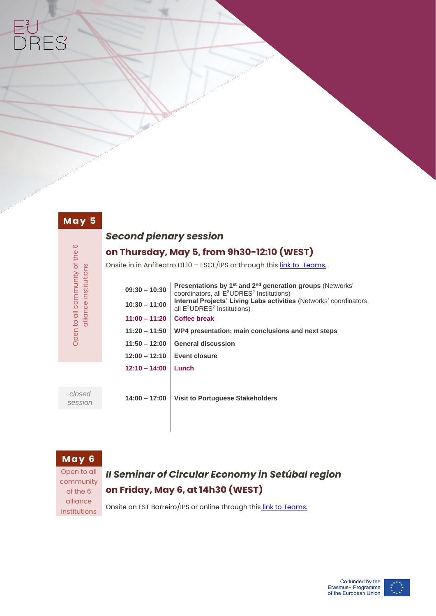#### **May 5**

Open to all community of the 6<br>alliance institutions

Open to all community of the 6 alliance institutions

### *Second plenary session*

#### **on Thursday, May 5, from 9h30-12:10 (WEST)**

Onsite in in Anfiteatro D1.10 - ESCE/IPS or through thi[s link to Teams.](https://teams.microsoft.com/l/meetup-join/19%3ameeting_ZjQxNTdkZGQtOWQ2Mi00OWU5LTg4NjctMzEyZjgwZTZhNDkw%40thread.v2/0?context=%7b%22Tid%22%3a%22ad28c625-f2ca-4e91-b6d6-18922bc9391c%22%2c%22Oid%22%3a%22ef8dc058-1f31-48dc-805a-0df76a6e92e3%22%7d)

| $09:30 - 10:30$ | <b>Presentations by 1st and 2<sup>nd</sup> generation groups</b> (Networks'<br>coordinators, all E <sup>3</sup> UDRES <sup>2</sup> Institutions)<br>Internal Projects' Living Labs activities (Networks' coordinators,<br>all $E^3UDRES^2$ Institutions) |  |  |
|-----------------|----------------------------------------------------------------------------------------------------------------------------------------------------------------------------------------------------------------------------------------------------------|--|--|
| $10:30 - 11:00$ |                                                                                                                                                                                                                                                          |  |  |
| $11:00 - 11:20$ | Coffee break                                                                                                                                                                                                                                             |  |  |
| $11:20 - 11:50$ | WP4 presentation: main conclusions and next steps                                                                                                                                                                                                        |  |  |
| $11:50 - 12:00$ | <b>General discussion</b>                                                                                                                                                                                                                                |  |  |
| $12:00 - 12:10$ | Event closure                                                                                                                                                                                                                                            |  |  |
| $12:10 - 14:00$ | Lunch                                                                                                                                                                                                                                                    |  |  |
|                 |                                                                                                                                                                                                                                                          |  |  |

*closed session*

**14:00 – 17:00 Visit to Portuguese Stakeholders** 

#### **May 6**

Open to all community of the 6 alliance institutions

# *II Seminar of Circular Economy in Setúbal region*  **on Friday, May 6, at 14h30 (WEST)**

Onsite on EST Barreiro/IPS or online through this [link to Teams.](https://teams.microsoft.com/l/meetup-join/19%3ameeting_ZWExMTE5NTEtYzlmMS00YjNjLWI4NjctMGEwYTZmOTlhNzU5%40thread.v2/0?context=%7b%22Tid%22%3a%22ad28c625-f2ca-4e91-b6d6-18922bc9391c%22%2c%22Oid%22%3a%22ef8dc058-1f31-48dc-805a-0df76a6e92e3%22%7d)

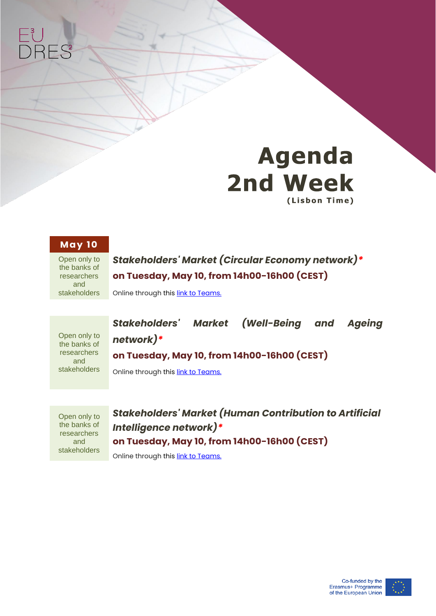



#### **May 1 0**

Open only to the banks of researchers and stakeholders

### *Stakeholders' Market (Circular Economy network)\** **on Tuesday, May 10, from 14h00-16h00 (CEST)**

Online through this **link to Teams.** 

Open only to the banks of researchers and stakeholders *Stakeholders' Market (Well-Being and Ageing network)\** **on Tuesday, May 10, from 14h00-16h00 (CEST)**

Online through this **link to Teams.** 

Open only to the banks of researchers and stakeholders *Stakeholders' Market (Human Contribution to Artificial Intelligence network)\** **on Tuesday, May 10, from 14h00-16h00 (CEST)** Online through this **link to Teams.**